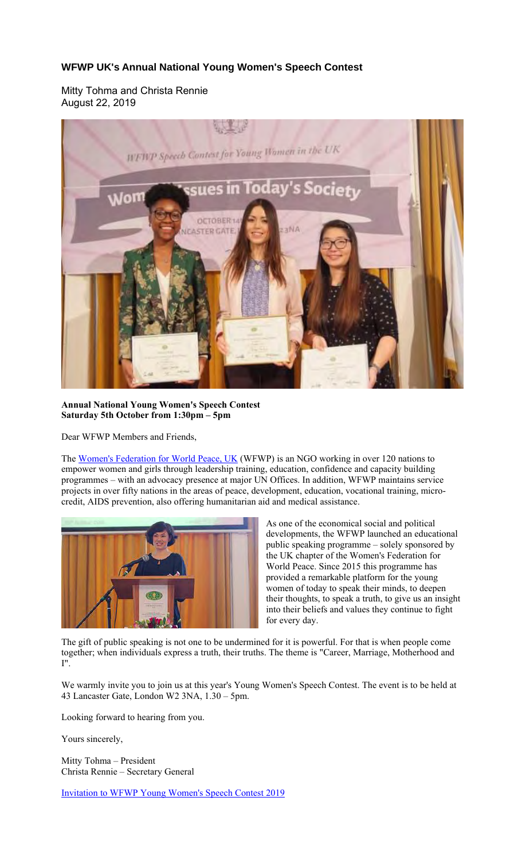## **WFWP UK's Annual National Young Women's Speech Contest**

Mitty Tohma and Christa Rennie August 22, 2019



**Annual National Young Women's Speech Contest Saturday 5th October from 1:30pm – 5pm** 

Dear WFWP Members and Friends,

The Women's Federation for World Peace, UK (WFWP) is an NGO working in over 120 nations to empower women and girls through leadership training, education, confidence and capacity building programmes – with an advocacy presence at major UN Offices. In addition, WFWP maintains service projects in over fifty nations in the areas of peace, development, education, vocational training, microcredit, AIDS prevention, also offering humanitarian aid and medical assistance.



As one of the economical social and political developments, the WFWP launched an educational public speaking programme – solely sponsored by the UK chapter of the Women's Federation for World Peace. Since 2015 this programme has provided a remarkable platform for the young women of today to speak their minds, to deepen their thoughts, to speak a truth, to give us an insight into their beliefs and values they continue to fight for every day.

The gift of public speaking is not one to be undermined for it is powerful. For that is when people come together; when individuals express a truth, their truths. The theme is "Career, Marriage, Motherhood and I".

We warmly invite you to join us at this year's Young Women's Speech Contest. The event is to be held at 43 Lancaster Gate, London W2 3NA, 1.30 – 5pm.

Looking forward to hearing from you.

Yours sincerely,

Mitty Tohma – President Christa Rennie – Secretary General

Invitation to WFWP Young Women's Speech Contest 2019